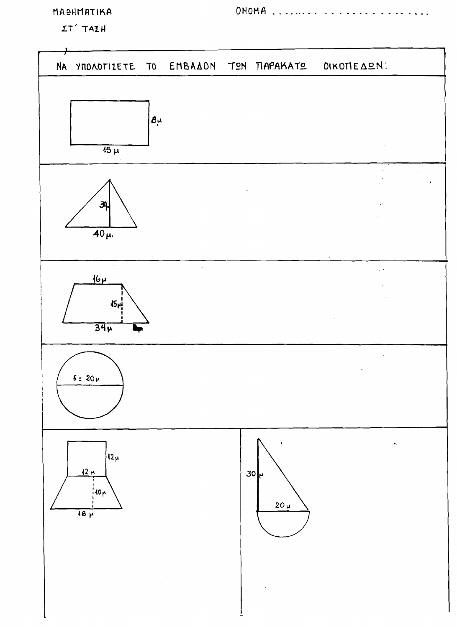## MABHMATIKA

 $\Sigma T'$  TAIH

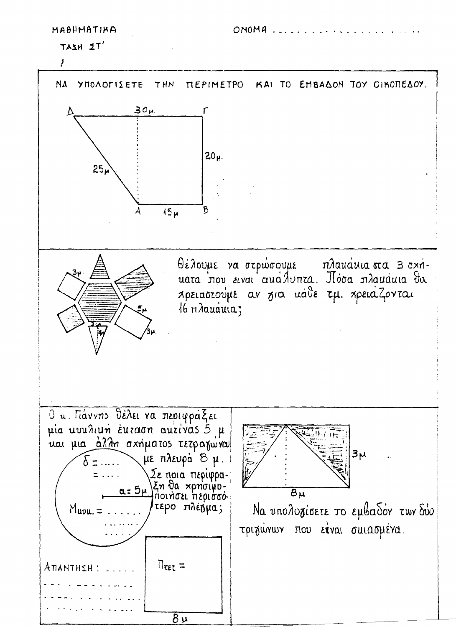